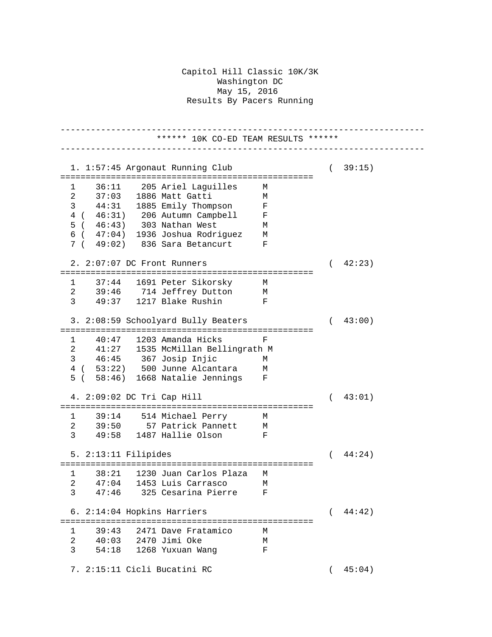## Capitol Hill Classic 10K/3K Washington DC May 15, 2016 Results By Pacers Running

------------------------------------------------------------------------ \*\*\*\*\*\* 10K CO-ED TEAM RESULTS \*\*\*\*\*\* ------------------------------------------------------------------------ 1. 1:57:45 Argonaut Running Club ( 39:15) ================================================== 1 36:11 205 Ariel Laguilles M 2 37:03 1886 Matt Gatti M 3 44:31 1885 Emily Thompson F 4 ( 46:31) 206 Autumn Campbell F 5 ( 46:43) 303 Nathan West M 6 ( 47:04) 1936 Joshua Rodriguez M 7 ( 49:02) 836 Sara Betancurt F 2. 2:07:07 DC Front Runners ( 42:23) ================================================== 1 37:44 1691 Peter Sikorsky M<br>2 39:46 714 Jeffrey Dutton M 2 39:46 714 Jeffrey Dutton M 3 49:37 1217 Blake Rushin F 3. 2:08:59 Schoolyard Bully Beaters ( 43:00) ================================================== 1 40:47 1203 Amanda Hicks F 2 41:27 1535 McMillan Bellingrath M 3 46:45 367 Josip Injic M 4 ( 53:22) 500 Junne Alcantara M<br>5 ( 58:46) 1668 Natalie Jennings F 5 ( 58:46) 1668 Natalie Jennings F 4. 2:09:02 DC Tri Cap Hill ( 43:01) ================================================== 1 39:14 514 Michael Perry M 2 39:50 57 Patrick Pannett M 3 49:58 1487 Hallie Olson F 5. 2:13:11 Filipides ( 44:24) ================================================== 1 38:21 1230 Juan Carlos Plaza M 2 47:04 1453 Luis Carrasco M<br>3 47:46 325 Cesarina Pierre F 3 47:46 325 Cesarina Pierre F 6. 2:14:04 Hopkins Harriers ( 44:42) ================================================== 1 39:43 2471 Dave Fratamico M 2 40:03 2470 Jimi Oke M 3 54:18 1268 Yuxuan Wang F 7. 2:15:11 Cicli Bucatini RC ( 45:04)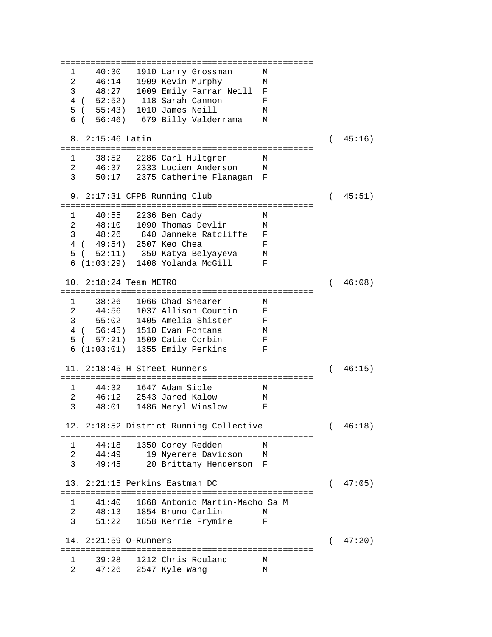================================================== 1 40:30 1910 Larry Grossman M 2 46:14 1909 Kevin Murphy M 3 48:27 1009 Emily Farrar Neill F 4 ( 52:52) 118 Sarah Cannon F  $5$  (  $55:43$ ) 1010 James Neill 6 ( 56:46) 679 Billy Valderrama M 8. 2:15:46 Latin ( 45:16) ================================================== 1 38:52 2286 Carl Hultgren M 2 46:37 2333 Lucien Anderson 3 50:17 2375 Catherine Flanagan F 9. 2:17:31 CFPB Running Club ( 45:51) ================================================== 1 40:55 2236 Ben Cady M<br>2 48:10 1090 Thomas Devlin M 2 48:10 1090 Thomas Devlin M 3 48:26 840 Janneke Ratcliffe F 4 ( 49:54) 2507 Keo Chea F 5 ( 52:11) 350 Katya Belyayeva M 6 (1:03:29) 1408 Yolanda McGill F 10. 2:18:24 Team METRO ( 46:08) ================================================== 1 38:26 1066 Chad Shearer M<br>2 44:56 1037 Allison Courtin F 2 44:56 1037 Allison Courtin F 3 55:02 1405 Amelia Shister F 4 ( 56:45) 1510 Evan Fontana M 5 ( 57:21) 1509 Catie Corbin F 6 (1:03:01) 1355 Emily Perkins F 11. 2:18:45 H Street Runners ( 46:15) ================================================== 1 44:32 1647 Adam Siple M 2 46:12 2543 Jared Kalow M 48:01 1486 Meryl Winslow 12. 2:18:52 District Running Collective ( 46:18) ================================================== 1 44:18 1350 Corey Redden M<br>2 44:49 19 Nverere Davidson M 2 44:49 19 Nyerere Davidson<br>3 49:45 20 Brittany Henderso 20 Brittany Henderson F 13. 2:21:15 Perkins Eastman DC ( 47:05) ================================================== 1 41:40 1868 Antonio Martin-Macho Sa M 2 48:13 1854 Bruno Carlin M 51:22 1858 Kerrie Frymire 14. 2:21:59 O-Runners ( 47:20) ================================================== 1 39:28 1212 Chris Rouland M 2 47:26 2547 Kyle Wang M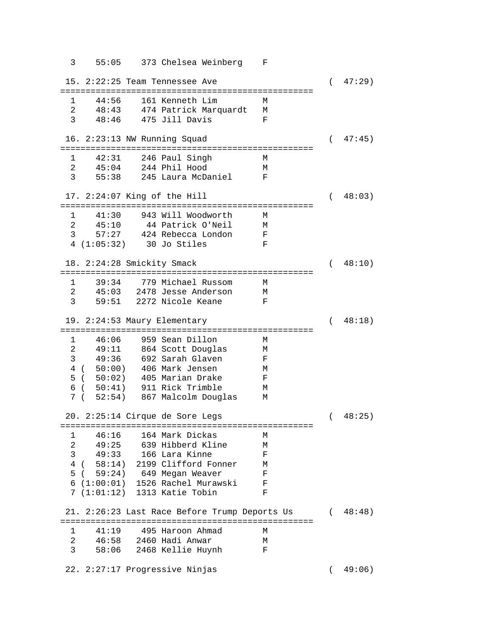3 55:05 373 Chelsea Weinberg F 15. 2:22:25 Team Tennessee Ave ( 47:29) ================================================== 1 44:56 161 Kenneth Lim M 2 48:43 474 Patrick Marquardt M 3 48:46 475 Jill Davis F 16. 2:23:13 NW Running Squad ( 47:45) ================================================== 1 42:31 246 Paul Singh M<br>2 45:04 244 Phil Hood M 2 45:04 244 Phil Hood M 3 55:38 245 Laura McDaniel F 17. 2:24:07 King of the Hill ( 48:03) ================================================== 1 41:30 943 Will Woodworth M 2 45:10 44 Patrick O'Neil M 3 57:27 424 Rebecca London F 4 (1:05:32) 30 Jo Stiles F 18. 2:24:28 Smickity Smack ( 48:10) ================================================== 1 39:34 779 Michael Russom M 2 45:03 2478 Jesse Anderson M 3 59:51 2272 Nicole Keane F 19. 2:24:53 Maury Elementary ( 48:18) ================================================== 1 46:06 959 Sean Dillon M 2 49:11 864 Scott Douglas M 3 49:36 692 Sarah Glaven F 4 ( 50:00) 406 Mark Jensen M 5 ( 50:02) 405 Marian Drake F 6 ( 50:41) 911 Rick Trimble M  $7$  (  $52:54$ )  $867$  Malcolm Douglas 20. 2:25:14 Cirque de Sore Legs ( 48:25) ================================================== 1 46:16 164 Mark Dickas M 2 49:25 639 Hibberd Kline M 3 49:33 166 Lara Kinne F 4 ( 58:14) 2199 Clifford Fonner M 5 ( 59:24) 649 Megan Weaver 6 (1:00:01) 1526 Rachel Murawski F 7 (1:01:12) 1313 Katie Tobin F 21. 2:26:23 Last Race Before Trump Deports Us ( 48:48) ================================================== 1 41:19 495 Haroon Ahmad M 2 46:58 2460 Hadi Anwar M 3 58:06 2468 Kellie Huynh F 22. 2:27:17 Progressive Ninjas ( 49:06)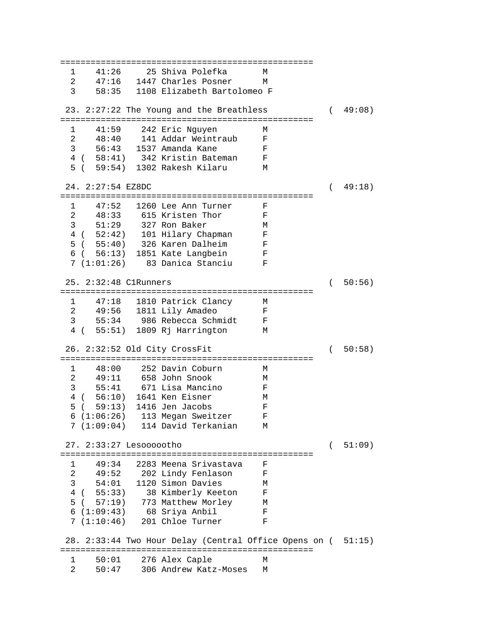================================================== 1 41:26 25 Shiva Polefka M 47:16 1447 Charles Posner 3 58:35 1108 Elizabeth Bartolomeo F 23. 2:27:22 The Young and the Breathless ( 49:08) ================================================== 1 41:59 242 Eric Nguyen M<br>2 48:40 141 Addar Weintraub F 2 48:40 141 Addar Weintraub 3 56:43 1537 Amanda Kane F 4 ( 58:41) 342 Kristin Bateman F 5 ( 59:54) 1302 Rakesh Kilaru 24. 2:27:54 EZ8DC ( 49:18) ================================================== 1 47:52 1260 Lee Ann Turner F<br>2 48:33 615 Kristen Thor F 2 48:33 615 Kristen Thor F 3 51:29 327 Ron Baker M 4 ( 52:42) 101 Hilary Chapman F<br>5 ( 55:40) 326 Karen Dalheim F 5 ( 55:40) 326 Karen Dalheim F 6 ( 56:13) 1851 Kate Langbein F 7 (1:01:26) 83 Danica Stanciu F 25. 2:32:48 C1Runners ( 50:56) ================================================== 1 47:18 1810 Patrick Clancy M<br>2 49:56 1811 Lily Amadeo F 49:56 1811 Lily Amadeo 3 55:34 986 Rebecca Schmidt F 4 ( 55:51) 1809 Rj Harrington M 26. 2:32:52 Old City CrossFit ( 50:58) ================================================== 1 48:00 252 Davin Coburn M<br>2 49:11 658 John Snook M 2 49:11 658 John Snook M 3 55:41 671 Lisa Mancino F 4 ( 56:10) 1641 Ken Eisner M<br>5 ( 59:13) 1416 Jen Jacobs F 5 ( 59:13) 1416 Jen Jacobs F 6 (1:06:26) 113 Megan Sweitzer F 7 (1:09:04) 114 David Terkanian M 27. 2:33:27 Lesoooootho ( 51:09) ================================================== 49:34 2283 Meena Srivastava F<br>49:52 202 Lindy Fenlason F 2 49:52 202 Lindy Fenlason F 3 54:01 1120 Simon Davies<br>4 ( 55:33) 38 Kimberly Keetor 4 ( 55:33) 38 Kimberly Keeton F 5 ( 57:19) 773 Matthew Morley M 6 (1:09:43) 68 Sriya Anbil F 7 (1:10:46) 201 Chloe Turner F 28. 2:33:44 Two Hour Delay (Central Office Opens on ( 51:15) ================================================== 1 50:01 276 Alex Caple M 2 50:47 306 Andrew Katz-Moses M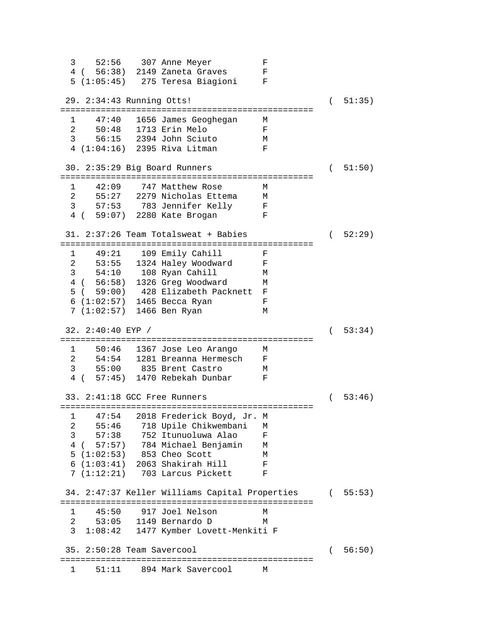3 52:56 307 Anne Meyer F 4 ( 56:38) 2149 Zaneta Graves F 5 (1:05:45) 275 Teresa Biagioni F 29. 2:34:43 Running Otts! ( 51:35) ================================================== 1 47:40 1656 James Geoghegan M 2 50:48 1713 Erin Melo F 3 56:15 2394 John Sciuto 4 (1:04:16) 2395 Riva Litman F 30. 2:35:29 Big Board Runners ( 51:50) ================================================== 1 42:09 747 Matthew Rose M 2 55:27 2279 Nicholas Ettema M 3 57:53 783 Jennifer Kelly F 4 ( 59:07) 2280 Kate Brogan F 31. 2:37:26 Team Totalsweat + Babies ( 52:29) ================================================== 49:21 109 Emily Cahill F 2 53:55 1324 Haley Woodward F 3 54:10 108 Ryan Cahill M 4 ( 56:58) 1326 Greg Woodward M 5 ( 59:00) 428 Elizabeth Packnett F 6 (1:02:57) 1465 Becca Ryan F 7 (1:02:57) 1466 Ben Ryan M 32. 2:40:40 EYP / ( 53:34) ================================================== 1 50:46 1367 Jose Leo Arango M 2 54:54 1281 Breanna Hermesch F 3 55:00 835 Brent Castro 4 ( 57:45) 1470 Rebekah Dunbar F 33. 2:41:18 GCC Free Runners ( 53:46) ================================================== 1 47:54 2018 Frederick Boyd, Jr. M 2 55:46 718 Upile Chikwembani M<br>3 57:38 752 Itunuoluwa Alao F 3 57:38 752 Itunuoluwa Alao F 4 ( 57:57) 784 Michael Benjamin M 5 (1:02:53) 853 Cheo Scott M 6 (1:03:41) 2063 Shakirah Hill F 7 (1:12:21) 703 Larcus Pickett F 34. 2:47:37 Keller Williams Capital Properties ( 55:53) ================================================== 1 45:50 917 Joel Nelson 2 53:05 1149 Bernardo D M 3 1:08:42 1477 Kymber Lovett-Menkiti F 35. 2:50:28 Team Savercool ( 56:50) ================================================== 1 51:11 894 Mark Savercool M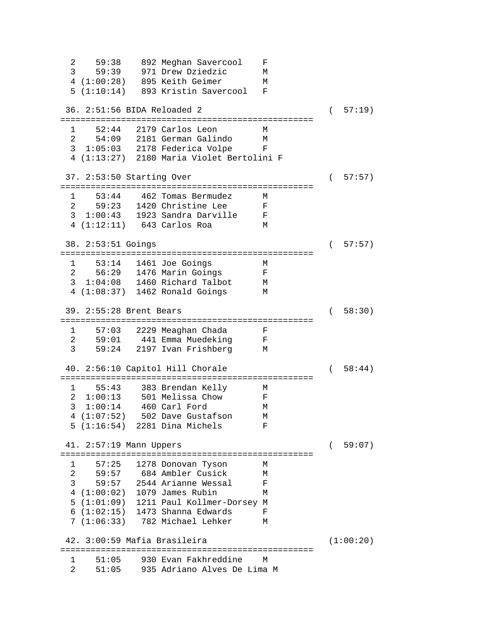2 59:38 892 Meghan Savercool F 3 59:39 971 Drew Dziedzic M 4 (1:00:28) 895 Keith Geimer M 5 (1:10:14) 893 Kristin Savercool F 36. 2:51:56 BIDA Reloaded 2 ( 57:19) ================================================== 1 52:44 2179 Carlos Leon M 54:09 2181 German Galindo 3 1:05:03 2178 Federica Volpe F 4 (1:13:27) 2180 Maria Violet Bertolini F 37. 2:53:50 Starting Over ( 57:57) ================================================== 1 53:44 462 Tomas Bermudez M 2 59:23 1420 Christine Lee F 3 1:00:43 1923 Sandra Darville F 4 (1:12:11) 643 Carlos Roa 38. 2:53:51 Goings ( 57:57) ================================================== 1 53:14 1461 Joe Goings M 2 56:29 1476 Marin Goings F 3 1:04:08 1460 Richard Talbot M<br>4 (1:08:37) 1462 Ronald Goings M  $4$   $(1:08:37)$   $1462$  Ronald Goings 39. 2:55:28 Brent Bears ( 58:30) ================================================== 1 57:03 2229 Meaghan Chada F 2 59:01 441 Emma Muedeking F 3 59:24 2197 Ivan Frishberg M 40. 2:56:10 Capitol Hill Chorale ( 58:44) ================================================== 1 55:43 383 Brendan Kelly M 2 1:00:13 501 Melissa Chow F 3 1:00:14 460 Carl Ford M 4 (1:07:52) 502 Dave Gustafson M 5 (1:16:54) 2281 Dina Michels F 41. 2:57:19 Mann Uppers ( 59:07) ================================================== 1 57:25 1278 Donovan Tyson M 2 59:57 684 Ambler Cusick M 3 59:57 2544 Arianne Wessal F 4 (1:00:02) 1079 James Rubin M 5 (1:01:09) 1211 Paul Kollmer-Dorsey M 6 (1:02:15) 1473 Shanna Edwards F 7 (1:06:33) 782 Michael Lehker M 42. 3:00:59 Mafia Brasileira (1:00:20) ================================================== 1 51:05 930 Evan Fakhreddine M 2 51:05 935 Adriano Alves De Lima M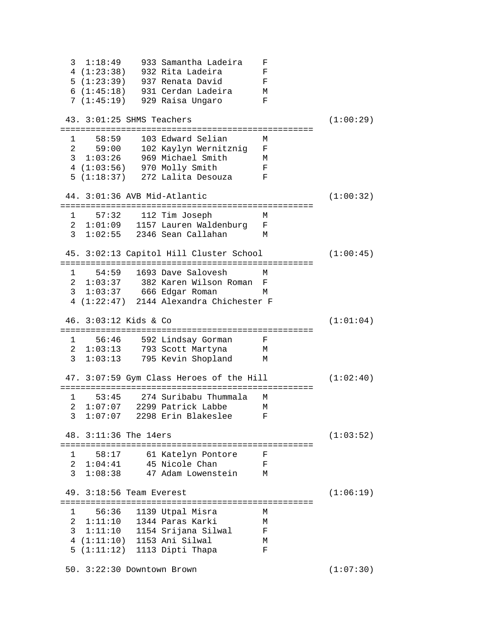3 1:18:49 933 Samantha Ladeira F 4 (1:23:38) 932 Rita Ladeira F 5 (1:23:39) 937 Renata David F<br>6 (1:45:18) 931 Cerdan Ladeira M 6 (1:45:18) 931 Cerdan Ladeira M 7 (1:45:19) 929 Raisa Ungaro F 43. 3:01:25 SHMS Teachers (1:00:29) ================================================== 1 58:59 103 Edward Selian M 2 59:00 102 Kaylyn Wernitznig F 3 1:03:26 969 Michael Smith M 4 (1:03:56) 970 Molly Smith F<br>5 (1:18:37) 272 Lalita Desouza F 5 (1:18:37) 272 Lalita Desouza F 44. 3:01:36 AVB Mid-Atlantic (1:00:32) ================================================== 1 57:32 112 Tim Joseph M 2 1:01:09 1157 Lauren Waldenburg F 3 1:02:55 2346 Sean Callahan M 45. 3:02:13 Capitol Hill Cluster School (1:00:45) ================================================== 1 54:59 1693 Dave Salovesh M 2 1:03:37 382 Karen Wilson Roman F 3 1:03:37 666 Edgar Roman M 4 (1:22:47) 2144 Alexandra Chichester F 46. 3:03:12 Kids & Co (1:01:04) ================================================== 1 56:46 592 Lindsay Gorman F 2 1:03:13 793 Scott Martyna M 3 1:03:13 795 Kevin Shopland M 47. 3:07:59 Gym Class Heroes of the Hill (1:02:40) ================================================== 1 53:45 274 Suribabu Thummala M 2 1:07:07 2299 Patrick Labbe 3 1:07:07 2298 Erin Blakeslee F 48. 3:11:36 The 14ers (1:03:52) ================================================== 1 58:17 61 Katelyn Pontore F 45 Nicole Chan 3 1:08:38 47 Adam Lowenstein M 49. 3:18:56 Team Everest (1:06:19) ================================================== 1 56:36 1139 Utpal Misra M 2 1:11:10 1344 Paras Karki M 3 1:11:10 1154 Srijana Silwal F 4 (1:11:10) 1153 Ani Silwal M<br>5 (1:11:12) 1113 Dipti Thapa F 5 (1:11:12) 1113 Dipti Thapa F 50. 3:22:30 Downtown Brown (1:07:30)